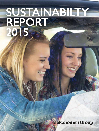# **SUSTAINABILTY REPORT 2015**

**Mekonomen Group**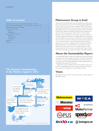## **The Group's development in the Nordic region in 2015**



## **Table of contents Mekonomen Group in brief**

Mekonomen Group (Mekonomen AB) is the leading car accessory, spare parts and workshop service chain in the Nordic region. Mekonomen Group comprises the three Group companies: MECA, Mekonomen and Sørensen og Balchen. We have proprietary wholesale operations, about 350 stores and 2,100 workshops operating under the Group's brands MECA, Mekonomen, BilXtra, MekoPartner and Speedy. Net sales for the Group amounted to SEK 5,624 M in 2014 and the average number of employees in the Nordic region was 2,290. The company's share has been listed on Nasdaq OMX Nordic Stockholm since May 2000. The principal owner is Axel Johnson with subsidiaries that own 26.5 per cent of the shares. Store and workshop operations are conducted in Sweden, Norway, Finland, Denmark and Iceland. Spare parts are sold via a collaboration with a distributor under the Group's proprietary brand, ProMeister, in South Korea. In Poland, Mekonomen Group is part-owner of a quality testing lab in which a large proportion of the accessory and spare parts range is tested. The Group's head office is located at Torsplan in Stockholm, Sweden.

## **About the Sustainability Report**

The Sustainability Report includes all of Mekonomen Group's proprietary workshops in the Nordic region and refers to the 2015 financial year. This is the first year the Sustainability Report has been produced in accordance with Global Reporting Initiative (GRI) guidelines governing sustainability reporting at G4 Core level.

Mekonomen Group is affiliated with the UN Global Compact and the 2015 Sustainability Report also comprises Mekonomen Group's Communication of Progress for the UN Global Compact.

## **Vision**

We are the car owner's first choice and strive for a simpler and more affordable CarLife.

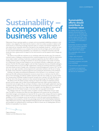## **Sustainability – a component of business value**

Mekonomen Group is growing rapidly as a company and we are gradually establishing a presence in new markets in new categories. This means that the manner in which we conduct ourselves in relation to the world around us is becoming increasingly important, both as a company and individual employees. Our core values and our corporate culture form the basis for how employees should act – and how we want the outside world to perceive us as a company. Our journey has only just begun, and we will continue to work towards implementing sustainability in our operations as a component of business value. We should also show a great amount of respect for the world around us and the speed at which changes are occurring.

We need to recruit 500 new mechanics to our workshops within the next few years. The market for mechanics poses a challenge as existing automotive vocational programmes do not fulfil the requirements set by today's modern workshops. Automotive vocational programmes also find it difficult to attract students, which has led to a shortage of mechanics. To secure future growth in the number of mechanics in Mekonomen Group, we have initiated our own recruitment channels in collaboration with social partners. The Win Win Win project, together with the Public Employment Services (Arbetsförmedlingen), is one example where we recruit and offer supplementary training and workshop experience to people who have recently arrived in Sweden with a mechanical or technical background. In autumn 2017, we will set up our own upper secondary school programme for automotive mechanics with the aim of raising the quality of the automotive vocational programme and increasing the attractiveness of the profession.

Investing in the quality and professional development of the mechanics in our workshops is a prioritised area. We offer professional development courses to ensure that our mechanics have the skills in terms of new technology and software updates required to deal with new models of car on the market. Our training centre, ProMeister Academy, has grown annually since it started in 2013. By 2020, the aim is for 95 per cent of the Group's mechanics to have received training through the ProMeister Academy.

We adhere to the UN Global Compact, meaning we require the company, its employees, business partners and the supply chain to follow the principles governing human rights, working conditions, the environment and corruption. We are working to introduce a clause into all supplier agreements requiring compliance with the UN Global Compact and are simultaneously introducing processes to monitor supplier compliance. 90 per cent of our range comes from suppliers who have signed our clause requiring compliance with the UN Global Compact, or who have their own equivalent commitment.

The challenge mainly lies in the large number of suppliers involved in Mekonomen Group's supply chain. The efforts to introduce the clause into other agreements will continue over the coming years. Committed managers and employees are important for the success of the company. We have an ongoing dialogue with employees in order to improve the areas that affect commitment and satisfaction in the workplace. In 2015, an employee survey was carried out in which the result concerning satisfaction in the workplace had increased by a further two percentage points from 84 to 86 (Employee Satisfaction Index). Mekonomen Group has a highly developed entrepreneurial spirit with employees who are responsible and committed. I am looking forward to continuing our efforts to ensure we, as a leading player, will be at forefront of sustainability in our industry.

Magnus Johansson *President and CEO, Mekonomen Group*

## **Sustainability efforts should contribute to business value**

As a leading industry player, our decisions and priorities have a direct impact on our employees and customers, but also on our industry and the outside world. That is why we must take responsibility and be at the forefront of sustainability in our industry.

Sustainability should be an integratwith established goals helping to

contribute to:

- Higher sales and growth
- Reduced commercial risks
- Increased competency and quality
- Secured future supply of mechanics

• Competent and experienced ees who are our ambassadors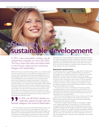MEKONOMEN GROUP'S RESPONSIBILITIES

## **Strategy for sustainable development**

In 2015, a new sustainability strategy was developed that will guide our work until 2020. The focus areas have been prioritised based on the Group's values and our continuous dialogue with stakeholders.

Mekonomen Group's sustainability strategy builds on our materiality analysis, which we continuously work on and update. The materiality analysis is an important tool for identifying internal and external stakeholders' views of the sustainability factors that are most important for Mekonomen Group. In 2014, Mekonomen Group conducted an initial materiality analysis in which Group Management, managers and employees in Mekonomen Group participated. It was then supplemented with a gap analysis, which shows the Group's work in relation to the United Nations Global Compact, of which the Mekonomen Group has been a participant with since 2013. Participation means that the Group commits to the UN Global Compact's ten principles in the areas of human rights, labour, the environment and anti-corruption. The materiality analysis was also translated into a wider perspective, in which consideration was given to national and international trends, standards, expectations, guidelines and laws that are relevant to a responsible and sustainable business.

## In 2016, we will further develop our materiality analysis through more stakeholder dialogues with external stakeholders.

This work resulted in seven focus areas that describe the Group's most important issues and priorities in the sustainability area. They are Customer Satisfaction, Product and Workshop Quality, Training, Managers and Employees, Diversity, Responsible Purchasing, and Transports and Energy Consumption. A number of targets have been set for these areas, which are to be achieved by 2020. The areas that primarily concern external

stakeholders are Customer Satisfaction, Transports and Energy Consumption, Responsible Purchasing, Product and Workshop Quality and Training in connection with affiliated workshops. All focus areas also concern internal stakeholders and are addressed and have an impact within the Group. In 2016, we will further develop our materiality analysis through more stakeholder dialogues with external stakeholders.

#### **Organisation and governance**

The sustainability efforts are integrated to a large extent into Mekonomen Group's operations. The strategic sustainability efforts are overseen by the managers of each respective business area in collaboration with those responsible for the environment and quality in each Group company. Monitoring is ultimately carried out by Group Management and the Board of Directors. Work concerning our areas of focus is currently conducted at different levels and to different extents in Group companies. We have introduced coordination into the sustainability area, setting out a clearer joint strategy and goals to provide enhanced opportunities for monitoring the lowest accepted level for the future.

The Group's work in terms of centralising the Purchasing and Workshop offering functions under one governance structure has led to the sustainability efforts being refined within the Supplier chain and Customers (workshop) focus areas. Those responsible for the business area are also responsible for the sustainability efforts.

Both the Group's overall goals and each Group company's specific target groups and focus areas are reflected in the Society area. Initiatives are therefore being undertaken both centrally and locally, with responsibility being assigned to the respective President.

In the case of strategic collaborative projects, responsibility is assigned to the manager responsible for the business area in which the initiative is taking place. Within the Environment and Employees areas, there are responsible Environment and HR managers working at the Group companies Mekonomen and MECA. The company President is responsible for Sørensen og Balchen. The respective President is responsible for the Customers area, with the support and commitment of the entire organisation. Last but not least, store employees play an important role as ambassadors and our public face for customers.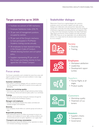## **Target scenarios up to 2020:**

- Facilitate recruitment of 500 mechanics.
- Employee Satisfaction Index (ESI): 95.
- 35 per cent of management positions occupied by women.
- 95 per cent of the Group's mechanics to have participated in ProMeister Academy training courses annually.
- All employees to have received training in the Group's Code of Conduct, Whistle blowing function and corruption policy.
- Suppliers representing 95 per cent of the Group's purchasing volumes to have signed the UN Global Compact.

## **Focus areas**

The Group's sustainability work is divided into seven focus areas with regard to quality, environment and social conditions in every stage – from production to sales.

#### **Customer satisfaction**

• We conduct a continuous dialogue with our customers to ensure that they experience a high level of customer service, quality and affordability.

#### **Product and workshop quality**

• We ensure a high level of quality through extensive product testing and continuous internal and external quality audits in our workshops.

#### **Training**

• We offer courses and further training for mechanics through the Group's training centre ProMeister Academy.

#### **Managers and employees**

• We offer a developing workplace that creates committed and involved managers and employees.

#### **Diversity**

• Our workplaces should reflect our customer groups and society at large.

#### **Responsible purchasing**

• We continuously improve our follow-up processes to ensure consideration and compliance to human rights, working conditions, and environmental and anti-corruption regulations in our supply chain.

#### **Transports and energy consumption**

• We continuously improve the efficiency of our operations to reduce CO² emissions and energy consumption.

## **Stakeholder dialogue**

Mekonomen Group has an ongoing dialogue with customers, employees, owners and investors, suppliers and wider society. Dialogue and collaboration with social partners takes place with, among others, authorities (the Public Employment Services and Board of Education), organisations promoting diversity and integration (Mitt Liv, Mine, the En Frisk Generation foundation, the Glada Hudik Teater, Telge Tillväxt and Diversity Charter Sweden) and trade associations (SFVF, MRF). These are our key stakeholders who are affected either directly or to a large extent by the decisions taken and priorities set by us as a company.



### **Society**

- Diversity
- Training



### **Employees**

- Workplace satisfaction
- Leadership
- Development opportunities

### **Suppliers**

- Human Rights at all stages
- Product quality

### **Customers**

- Workshop quality
- Treatment of customers



### **Investors**

- Suppliers checks
- Transparency
- Governance

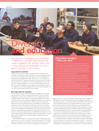## **Diversity and education**

We strive for employees at our workplaces to reflect our customer target groups and society in general. Our diversity work is also a direct solution to the problem of a shortage of mechanics in our industry.

#### **Large need for mechanics**

The trend in recent years indicates a growing need for mechanics in the workshops, while interest in being a mechanic as a career has fallen and fewer mechanics are graduating from Swedish high schools. The employability of the mechanics who graduate from high school is low in some cases due to insufficient expertise. An apprenticeship period is necessary, which is costly for the workshops. In our assessment, we will need 500 mechanics within a few years. The corresponding figure in our industry is 5,000 mechanics. To cover the future need for expertise, we have initiated the training project "Win win win" together with the Public Employment Services. We will also establish our own high school education programme for mechanics.

#### **Own high school for mechanics**

The vocational training for mechanics needs to be modernised to meet the skills requirements in today's workshops. Mekonomen Group is therefore establishing its own high school within the Group's existing training centre ProMeister Academy. This endeavour is taking place together with *Lärande i Sverige AB* which currently operates the Realgymnasiet network of vocational high schools in Sweden with permits to offer an automotive programme. Mekonomen Group is taking the primary responsibility for ensuring that the quality and content of the programme meets the needs of the workshops, which will also improve the employment possibilities for the recently graduated mechanics. Traditionally, the relationship is the opposite, where the school operator is responsible for the programme's quality and content and courts business for small-scale collaboration and isolated efforts. This initiative is in line with the government's ambition regarding a future characterised by "vocational high schools in collaboration" that aim for greater cooperation between schools and business.

The ProMeister programme is based on the results of needs analyses that are carried out in modern workshops. The goal of the programme is to better prepare the students for the profession as a mechanic based on the student's individual circumstances. This means that the programme will comprise a

## **Education project "Win win win"**

2014 for new arrivals to Sweden who want to work as automo-

.<br>and benefits the individual and society

Improvements in the education model take place continuousof studies and practical placement. The second round of the programme began in winter 2015 with eight participants. Already before the next training programme, we are confident of the pos-

larger amount of on-the-job training than traditional high school programmes offer. Students who are advanced and need to be challenged will be able to be offered a transition to an upper-secondary apprenticeship within the scope of the ProMeister programme. The apprenticeship track makes it possible for workshops to follow and shape students over an extended period of time, which offers good employment possibilities after graduation. In contrast to other educational operators, the ProMeister programme will guarantee that all students offered a transition to apprenticeship training have achieved a certain level of knowledge. The students who remain in the ProMeister programme's teacher-led school activities have the opportunity of a faster development by having more time with their teachers and greater room to grow through practice in the training workshops set up for the endeavour.

A competence profile in relation to the competence analysis in the industry will also accompany the student after programme completion in order to be supplemented by future employers as the mechanic develops in working life. The programme is scheduled for launch in autumn 2017 in Stockholm and Lund.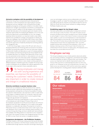#### **Attractive workplace with the possibility of development**

Mekonomen Group has an entrepreneurial spirit characterised by commitment, in which all employees have opportunities for personal development and new challenges in their working life. We are highly adaptable and pragmatic and have great confidence in the ability of each individual. Our managers' and employees' commitment is a prerequisite for the Group's success. In addition to the daily dialogue at the workplaces, in-depth talks take place on the employee's goals, work situation and development opportunities. The employee gets feedback on his or her work and has the opportunity to provide feedback on his or her manager's leadership. Internal recruitment is an important model to retain skilled expertise and a possibility for managers and employees to develop and accept new challenges in the Group. Within MECA, there is also a Talent Management Programme that resulted in several examples of employees who had the opportunity of leadership development and being pulled up into management roles.

In 2015, the Group began a review of the HR work with a focus on developing leadership and introducing clearer structures for recruitment and follow-up, among other aspects. This work has mainly been initiated in Mekonomen Sweden and takes place as a part of increasing satisfaction at the workplace and improving earnings for the Group. Despite the lack of complete data, there is an indication that Mekonomen Group in total has a low personnel turnover and that sic zkness absence is at a very low level. More than 97 per cent of the total number of employees in Sweden are covered by collective agreements. In Norway, collective bargaining agreements are not as common in every industry and the proportion of affiliated employees is therefore lower than in Sweden. The Group's total number of employees who are affiliated with collective agreements in the Nordic region will be reported in future sustainability reports.

By having employees and managers with varying experience and expertise, we improve the possibility of meeting the customers' needs. Diversity is also important in order to create renewal and change in a traditional industry.

#### **Diversity contributes to greater business value**

We strive for our workplaces to reflect the diversity of our customer groups and society in general. By having employees and managers with varying experience and expertise, we improve the possibility of meeting the customers' needs. Diversity is also important in order to create renewal and change in a traditional industry. For us, diversity is about the value of differences among our employees when it comes to gender, foreign backgrounds, age, education and experience.

Mekonomen Group has an age distribution in which around 50 per cent of the employees are under the age of 35, about 30 per cent of the employees are between 35 and 50, and around 20 per cent of the employees are over 50. A major challenge for us is to create an even gender distribution in a traditionally male industry. The proportion of women in Mekonomen Group is currently about 20 per cent. In order to get a more even distribution, work is under way to introduce clearer processes in recruitment. Among other things, we strive to identify both male and female final candidates when filling positions. It is important to set an example at every level in the company, not least in the management groups. Our vision for 2020 is to have 35 per cent women in management positions.

#### **Competence development – the ProMeister Academy**

ProMeister Academy is the Group's training centre that secures the quality and skills of our mechanics in all of the Group's workshop chains. Courses are offered both through classroom instruction and through e-learning and cover new technologies, customer service, professionalism and in-depth knowledge on specific car models. The training centre was founded in 2013 and 2,300 training days for mechanics are provided annually. The vision for 2020 is for 95 per cent of the Group's mechanics to undergo training at ProMeister Academy every year.

#### **Establishing support for the Group's values**

Internally, business ethics are handled today in employment contracts and in the Group's Code of Conduct. The Code of Conduct was approved by the Board and has been translated to every Nordic language as well as English. A review of the Code of Conduct is done every year. Upon updates, it is sent out to all employees by e-mail and posted on digital intranet platforms and externally on the website mekonomen. com. The Code of Conduct also provides information on the Group's whistle-blower function that was implemented in 2011. To further establish business ethics among all of the employees, in 2016, we will develop e-learning courses on the Group's Code of Conduct, the whistle-blower function and anti-corruption policy. All employees are to have taken the courses before the end of 2017.

### **Employee survey**

The Group's employee surveys include questions about job satisfaction and working conditions, management, commitment and whether individual employees are able to influence their work situation. The survey is an important tool to identify improvement areas in the Group, all the way from an overall perspective down to one's own group or unit. Employee surveys are conducted every two years. The latest survey was conducted in 2015 and the results show a general positive development, including greater employee satisfaction (ESI).



## **Our values**

#### **Responsibility**

#### **Competency**

perceiving us as reliable and knowledgeable.

#### **Customer orientation**

We place the customer first and satisfy our customers

#### **Flexibility**

#### **Business orientation**

offering value for money by the customer.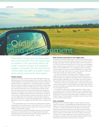## **Quality nment**

Mekonomen Group mainly purchases spare parts and accessories from the large European suppliers in the automotive industry. By being a customer of major and recognised suppliers, we benefit from the strict environmental, health and safety and quality requirements already exercised by these players.

#### **Product quality**

Quality forms the basis of Mekonomen Group's offering. We mainly purchase spare parts from the same suppliers that serve the car makers. We set high standards on documentation that ensures the level of quality and that the product is an original part or of equivalent quality. For all spare parts, the concept of quality encompasses the parameters: material, design, function, durability and health and safety. Spare parts made of metal are also covered by parameters such as rust proofing and density. Furthermore the quality assurance for these products takes place through the follow-up of complaints, warranty claims and measurement of frequently returned items. Suppliers that deviate from the rules have to present corrective actions and demonstrate an improved trend. We also conduct our own and independent tests to guarantee continued quality compliance. Our own tests are done in the Group's testing laboratory in Poland, which Mekonomen Group owns together with the Polish car part company Inter Cars.

In the development of our own brands, we ourselves assume a greater responsibility for the quality assurance of the products. Our own spare part brand ProMeister stands for premium quality, which means that we choose suppliers with high levels of quality.

In all factories that manufacture ProMeister spare parts, internal audits take place to ensure that they comply with legal requirements, quality requirements and the UN Global Compact. The product range also comprises the industry's longest warranty period – five years.

#### **Risks and risk assessment in the supply chain**

Purchases of the product range under our own brands ProMeister (spare parts) and Carwise (accessories) largely take place from Europe. The percentage of purchases made through direct imports from Asia is below 10 per cent of the total purchasing volume. The Group has a well-developed range of spare parts and accessories for more than 9,000 car models. We stock more than 60,000 items in our wholesale inventory and through contract suppliers have access to another 500,000 items. In order to provide the broad range of parts that our customers demand, Mekonomen Group does business with a large number of suppliers.

To monitor compliance of the large number of suppliers to the UN Global Compact, the Group has introduced a risk assessment process where particular focus is placed on the supplier's that are deemed to constitute the largest sustainability risks. In the supply chain, direct purchases from small and medium-sized enterprises in Asia make up the largest risk.

Mekonomen Group has a purchasing office in Hong Kong to be present closer to the production in Asia and develops the product range under our own brands. Through the purchasing office, internal audits are also conducted in the suppliers' factories.

For the past two years, all new supplier agreements contain a clause on compliance to the UN Global Compact. The work of updating already existing agreements is continuously under way. Today, suppliers that account for 90 per cent of spare part sales have agreed to compliance to the UN Global Compact, or have presented an equivalent code of conduct of their own that matches these principles.

#### **Anti-corruption**

Although the risk is considered higher in certain markets and certain industries, corruption is not geographically limited. Mekonomen Group applies zero tolerance. Today, we make purchases from markets where corruption is a well-known problem, which requires that we actively distance ourselves from these practices. Through a central purchasing organisation that secures all major purchasing agreements for our three Group companies, we have better control over suppliers and the flow of products. Our supplier agreements contain clauses that include anticorruption by referring to the United Nations Global Compact. In 2015, Mekonomen Group had no reported cases of corruption.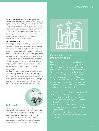#### **Greater control and follow-up in the operations**

The Group's environmental impact in the Nordic region mainly takes place in the areas of energy, transportation and the handling of chemicals. Our proprietary operations in MECA Sweden, MECA Norway and Mekonomen Sweden have made the most progress in environmental work, and all of these facilities hold ISO 14001 certification. Mekonomen's proprietary operations in Sweden have also been certified for occupational health and safety (OHSAS 18001) and quality management (ISO 9001). Certifications of the operations have entailed better control with clear processes to discover and manage deviations. We intend to report energy consumption and CO² in greater detail in the 2016 sustainability report.

#### **Environmental work**

Environmental work comprises surveys of the most significant environmental impact of the operations, and includes environmental policies, certified environmental management systems and environmental manuals describing procedures, monitoring and responsibilities. Environmental management systems undergo external audits every year, and environmental goals and monitoring procedures are determined for each financial year. Within the Group, several courses are offered in the environmental area, such as the handling and transportation of hazardous goods (ADR) and national legislation related to chemicals and CE marking. Products are checked at several stages regarding, for example, their compliance with national requirements and registration. Specifications on content, labelling and safety data are also produced. The agreements signed with suppliers include a number of documents concerning environmental standards, such as the EU REACH regulation, which also require compliance.

#### **Energy audit**

Mekonomen Group has registered as subject to the Act on Energy Audits in Large Companies. We have begun an energy audit of the operations according to a process from the Swedish Energy Agency with the aim of identifying steps to reduce energy consumption in the Group. The work mainly concerns Sweden, but will in the future be implemented in part or in whole in the Norwegian operations. The regulation is based on an EU directive for the Member States and means that an audit is to be conducted at least once every four years.



## **Bulb quality**

In 2015, quality deficiencies were discovered in bulbs under the ProMeister brand. Parts of the range did not have the correct geometry, resulting in the filament's position being incorrect. The deficiencies led to a sales stop and after additional independent testing, the decision was made to recall ProMeister H1, H4 and H7 bulbs.

We view the quality deficiencies at the supplier in question seriously and have further expanded our own controls in the entire ProMeister range. In autumn 2015, it was ensured that the quality problem was isolated to this category of automotive bulbs.



## **Deficiencies in the production chain**

In connection with Mekonomen Group's ac-Group became the owner of a factory premises with some ten employees. Mekonomen Group's internal audit before the acquisition showed deficiencies in the working environment and labour law conditions. After the

- Ensured that labour law rules are followed
- Ensured that employment contracts Group's requirements
- Ensured that contracts and accounts are prepared in accordance with the Group's requirements
- Continuous internal audits at the factory
- More suitable premises are sought for the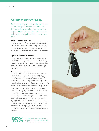## **Customer care and quality**

Our customer promises are based on our values. We put the customer first and focus on always meeting our customers' expectations. The customer associates us with high quality, affordability and innovation.

#### **Dialogue with our customers**

The most important dialogue with our customers takes place in our stores and workshops. In order to understand the customer's perceptions and to measure the quality of our operations, we use Mystery Shopping. We conduct customer surveys by SMS, e-mail or phone after the customer visits a workshop. On our websites, we encourage our customers to submit opinions, questions and suggestions on improvement areas.

#### **The customer as our ambassador**

We want our customers to be our ambassadors and recommend us to others. In 2016, we intend to introduce the customer rating tool Net Promoter Score (NPS) where the result shows what percentage of the customers are ambassadors for Mekonomen Group. Today, 95 per cent of MECA's and Mekonomen's customers answer yes to the question of whether they would recommend the workshop to others. An equal number would consider making an appointment for their car at the same workshop again.

#### **Quality and value for money**

We sell quality spare parts that come from the same suppliers that deliver parts to the car makers. The parts match the quality of an original part, but most often at a lower price than at brand-dependent vendors. We also offer an extensive network of stores with knowledgeable employees who can give our customers advice and help regarding the car and associated products. To offer the same high quality at an even lower price, we have developed a proprietary spare parts brand, ProMeister. We set high standards on ProMeister suppliers and conduct careful quality controls, in part through Mekonomen Group's testing laboratory in Poland. In order for the customers to be secure in choosing ProMeister, we have introduced the industry's longest warranty period of five years.

Quality in the workshops is guaranteed through continuous follow-up of quality assurance processes, controls and skills development among the Group's mechanics. Through our own training centre ProMeister Academy, more than 2,300 training days for mechanics were carried out in 2015. Mekonomen Group's workshops most often offer a lower price on service and repairs than brand-dependent players offer. Mekonomen's concept workshops in Sweden also offer a price guarantee both on service and repairs that mean that the customer gets back twice the difference if a less expensive service or repair alternative is available at ordinary price at an authorised car service centre.

of MECA's and Mekonomen's customers answer yes to the question of whether they would recommend the workshop to others.

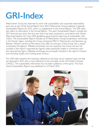## **GRI-Index**

Mekonomen Group has reported its work with sustainability and corporate responsibility each year as part of the Annual Report since 2010. Mekonomen Group publishes a separate Sustainability Report for 2015, which is a supplement to the Annual Report. The GRI index also refers to information in the Annual Report. This year's Sustainability Report includes the 2015 financial year and is the first year that it has been produced in accordance with Global Reporting Initiative G4 Core (GRI) guidelines governing the reporting of sustainability information. The Sustainability Report includes all of Mekonomen Group's proprietary workshops in the Nordic region, including the Group companies MECA, Mekonomen and Sørensen og Balchen. Where a section of the report only refers to one part of the Group, this is stated consistently throughout. Affiliated workshops are not owned by the Group and are not included in the report's reported key figures unless specifically stated in connection with the reported key figure. Affiliated workshops are principally included in the report's Product and workshop quality and Training areas of focus.

Our GRI index presents the indicators selected on the basis of our material issues and that we disclosed in 2015 with a cross-reference to the principles of the UN Global Compact (UNGC). The sustainability information has not been audited by a third party. The most recent Sustainability Report was published on 23 March 2015.

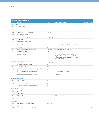| <b>STANDARD DISCLOSURES</b> |                                                         |                |                                                                                                                                                                                                                     |                       |  |  |
|-----------------------------|---------------------------------------------------------|----------------|---------------------------------------------------------------------------------------------------------------------------------------------------------------------------------------------------------------------|-----------------------|--|--|
|                             | <b>Description</b>                                      | Page           | <b>Comment/Reservation</b>                                                                                                                                                                                          | <b>UNGC</b> principle |  |  |
|                             | <b>Strategy and Analysis</b>                            |                |                                                                                                                                                                                                                     |                       |  |  |
| $G4-1$                      | Comment by the CEO                                      | $\overline{2}$ |                                                                                                                                                                                                                     |                       |  |  |
|                             | Organisationsprofil                                     |                |                                                                                                                                                                                                                     |                       |  |  |
| $G4-3$                      | Name of the organisation                                |                |                                                                                                                                                                                                                     |                       |  |  |
| $G4-4$                      | Primary brands, products and services                   | $I.AR14-15$    |                                                                                                                                                                                                                     |                       |  |  |
| $G4-5$                      | Location of headquarters                                |                |                                                                                                                                                                                                                     |                       |  |  |
| $G4-6$                      | Countries where the Group operates                      |                |                                                                                                                                                                                                                     |                       |  |  |
| $G4-7$                      | Nature of ownership and legal form.                     | I.ÅAR 34-40    |                                                                                                                                                                                                                     |                       |  |  |
| $G4-8$                      | Markets served                                          |                |                                                                                                                                                                                                                     |                       |  |  |
| G4-9                        | Scale of the reporting organisation                     |                |                                                                                                                                                                                                                     |                       |  |  |
| $G4-10$                     | Total number of employees                               | 1.6            |                                                                                                                                                                                                                     |                       |  |  |
| $G4-11$                     | Percentage of employees covered by collective agreement | 6              | The Group intends to report the disclosure more closely in the<br>Sustainability Report 2016.                                                                                                                       | 3                     |  |  |
| $G4-12$                     | The company's supply chain                              | 7              |                                                                                                                                                                                                                     |                       |  |  |
| $G4-13$                     | Significant changes during the reporting period         | $1.AR28 - 33$  | No significant changes have taken place.                                                                                                                                                                            |                       |  |  |
| $G4 - 14$                   | Precautionary principle                                 | $7 - 8$        |                                                                                                                                                                                                                     | $\overline{7}$        |  |  |
| $G4 - 15$                   | External charters, principles and initiatives           | 3              |                                                                                                                                                                                                                     |                       |  |  |
| $G4-16$                     | Membership associations                                 |                | The Group is a partner and a member of the Board of<br>Telge Tillväxt. The Group is also a member of the Board of<br>Insamlingsstiftelsen En Frisk Generation, as well as member<br>of the trade organisation SFVF. |                       |  |  |
|                             | <b>Identified Material Aspects and Boundaries</b>       |                |                                                                                                                                                                                                                     |                       |  |  |
| $G4-17$                     | Entities included or excluded                           | 10.AR 28-33    |                                                                                                                                                                                                                     |                       |  |  |
| $\sim$ $\sim$ $\sim$        | $\sim$ $\sim$ $\sim$                                    | $\sim$         |                                                                                                                                                                                                                     |                       |  |  |

| $G4 - 17$                   | Entities included or excluded                                                             | 10.AR 28-33    |                                 |
|-----------------------------|-------------------------------------------------------------------------------------------|----------------|---------------------------------|
| $G4-18$                     | Process for defining report content                                                       | 3              |                                 |
| $G4-19$                     | Identified material aspects                                                               | $3 - 4$        |                                 |
| $G4-20$                     | Descriptions of material aspect boundaries within the organization                        | $\mathcal{E}$  |                                 |
| $G4-21$                     | Descriptions of material aspect boundaries outside the organization                       | 3              |                                 |
| $G4-22$                     | Effect of any restatements of information provided<br>in previous reports                 |                | No restatements have been made. |
| G4-23                       | Significant changes from previous reporting periods<br>in the scope and aspect boundaries |                | Non applicable.                 |
|                             | <b>Stakeholder Engagement</b>                                                             |                |                                 |
| G4-24                       | Stakeholder groups                                                                        | $\overline{4}$ |                                 |
| G4-25                       | Identification and selection of stakeholders                                              | $\overline{4}$ |                                 |
| G4-26                       | Approach to stakeholder engagement                                                        | 4.6.9          |                                 |
| G4-27                       | Key topics raised during stakeholder engagements                                          | $\overline{4}$ |                                 |
| <b>Report profile</b>       |                                                                                           |                |                                 |
| $G4-28$                     | Reporting period                                                                          | $\overline{0}$ |                                 |
| G4-29                       | Date of most recent report                                                                | $ 0\rangle$    |                                 |
| $G4-30$                     | Reporting cycle                                                                           | $ 0\rangle$    |                                 |
| $G4-31$                     | Report contact                                                                            | 3              | ir@mekonomen.se                 |
| G4-32                       | "In accordance" option, GRI Index and report assurance                                    | $10 - 12$      |                                 |
| G4-33                       | Policy and current practice regarding report assurance                                    | $\overline{0}$ |                                 |
| Governance                  |                                                                                           |                |                                 |
| G4-34                       | Governance structure of the organization                                                  | 3.AR 34-40     |                                 |
| <b>Ethics and Integrity</b> |                                                                                           |                |                                 |
| $G4-56$                     | The organisation's values, principles, standards,<br>Code of Conduct and ethics Policy    | 6              | $\overline{10}$                 |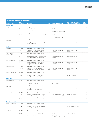| <b>SPECIFIC STANDARD DISCLOSURES</b>            |                   |                                                                                                                                 |                    |                                                                                                 |                                     |                |  |
|-------------------------------------------------|-------------------|---------------------------------------------------------------------------------------------------------------------------------|--------------------|-------------------------------------------------------------------------------------------------|-------------------------------------|----------------|--|
|                                                 | DMA and           |                                                                                                                                 |                    |                                                                                                 | <b>Focus areas in Mekonomen</b>     | <b>UNGC</b>    |  |
| <b>Material aspects</b><br><b>Environmental</b> | <b>Indicators</b> | <b>Description</b>                                                                                                              | Page               | <b>Comment/Reservation</b>                                                                      | Group's materiality analysis        | principle      |  |
| Energy                                          | G4-DMA            | Management approach of material aspects                                                                                         | 3,8                |                                                                                                 |                                     | 7,8            |  |
|                                                 | G4-EN3            | Direct and indirect energy consumption by<br>primary energy source                                                              | 8                  | The Group intends to report<br>the indicator more closely in<br>the Sustainability Report 2016. | Transport and energy consumption    | 7,8            |  |
| Transport                                       | G4-DMA            | Management approach of material aspects                                                                                         | 3,8                |                                                                                                 |                                     | 8              |  |
|                                                 | G4-EN30           | Environmental impact of transport and travel                                                                                    | 8                  | The Group intends to report<br>the indicator more closely in the<br>Sustainability Report 2016. | Transport and energy consumption    | 8              |  |
| Supplier Environmental<br>Assessment            | G4-DMA            | Management approach of material aspects                                                                                         | 3,4                |                                                                                                 |                                     | 8              |  |
|                                                 | G4-EN32           | Percentage of new suppliers screened using<br>environmental criteria                                                            | 7                  |                                                                                                 | Responsible purchasing              | 8              |  |
| <b>Social</b>                                   |                   |                                                                                                                                 |                    |                                                                                                 |                                     |                |  |
| Employment                                      | G4-DMA            | Management approach of material aspects                                                                                         | 3                  |                                                                                                 |                                     | 6              |  |
|                                                 | G4-LAI            | Total number of employees and employee<br>turnover, by age group, gender and region                                             | 6                  | The Group does not report<br>complete data.                                                     | Managers and employees<br>Diversity | 6              |  |
| Work environment,<br>health and safety          | G4-DMA            | Management approach of material aspects                                                                                         | 3,8                |                                                                                                 |                                     |                |  |
|                                                 | G4-LA6            | Rates of injury, occupational disease, lost days,<br>absenteeism, and work-related fatalities per<br>region                     | 6                  | The Group does not report<br>complete data.                                                     | Managers and employees              |                |  |
| Training and Education                          | G4-DMA            | Management approach of material aspects                                                                                         | 3, 4, 6            |                                                                                                 |                                     | 6              |  |
|                                                 | G4-LA9            | Average number of training and hours of<br>training per employee per year, broken<br>down by employee categories                | 6                  | The Group does not report<br>complete data.                                                     | Managers and employees<br>Training  | 6              |  |
| Equality and diversity                          | G4-DMA            | Management approach of material aspects                                                                                         | 3,6                |                                                                                                 |                                     | 6              |  |
|                                                 | $G4-LA12$         | Composition of the board, management and<br>employees broken down by indicators of<br>diversity                                 | 6, AR<br>$39 - 40$ | The Group does not report<br>complete data.                                                     | Managers and employees<br>Diversity | 6              |  |
| Supplier Assessment for<br>Labor Practices      | G4-DMA            | Management approach of material aspects                                                                                         | 3,4                |                                                                                                 |                                     |                |  |
| Human rights                                    | G4 LA14           | Percentage of new suppliers that were<br>screened using labor practices criteria                                                | $\overline{7}$     |                                                                                                 | Responsible purchasing              |                |  |
| Non-discrimination                              | G4-DMA            | Management approach of material aspects                                                                                         | 3                  |                                                                                                 |                                     | 6              |  |
|                                                 | G4-HR3            | Total number of incidents of discrimination<br>and corrective actions taken                                                     |                    | No cases of discrimination<br>were reported in 2015.                                            | Diversity                           | 6              |  |
| Supplier Human Rights<br>Assessment             | G4-DMA            | Management approach of material aspects                                                                                         | 3,4                |                                                                                                 |                                     | $\mathbf{2}$   |  |
| <b>Society</b>                                  | G4-HR10           | Percentage of new suppliers that were<br>screened using human rights criteria                                                   | $\overline{7}$     |                                                                                                 | Responsible purchasing              | $\mathbf{2}$   |  |
| Anti-corruption                                 | G4-DMA            | Management approach of material aspects                                                                                         | 3, 4, 7            |                                                                                                 |                                     | $\overline{0}$ |  |
|                                                 | G4-S04            | Percentage of employees that have received<br>training in the organisation's policies and<br>procedures on anti-corruption      | 6                  | The Group intends to report<br>the indicator more closely in<br>the Sustainability Report 2016. | Responsible purchasing              | $\overline{0}$ |  |
|                                                 | $G4-SO5$          | Actions taken in response to incidents of<br>corruption                                                                         | 7                  |                                                                                                 | Responsible purchasing              | $\overline{0}$ |  |
| <b>Product responsibility</b>                   |                   |                                                                                                                                 |                    |                                                                                                 |                                     |                |  |
| Product and workshop<br>quality                 | G4-DMA            | Management approach of material aspects                                                                                         | 3,7                |                                                                                                 |                                     |                |  |
|                                                 | G4-PRI            | Percentage of significant product and service<br>categories for which health and safety impacts<br>are assessed for improvement | 7                  |                                                                                                 | Product and workshop quality        |                |  |
| Labelling of products<br>and services           | G4-DMA            | Management approach of material aspects                                                                                         | 3,9                |                                                                                                 |                                     |                |  |
|                                                 | G4 PR5            | Procedures for customer satisfaction, including<br>results from customer surveys                                                | 9                  | The Group intends to report<br>the indicator more closely in<br>the Sustainability Report 2016. | Customer satisfaction               |                |  |